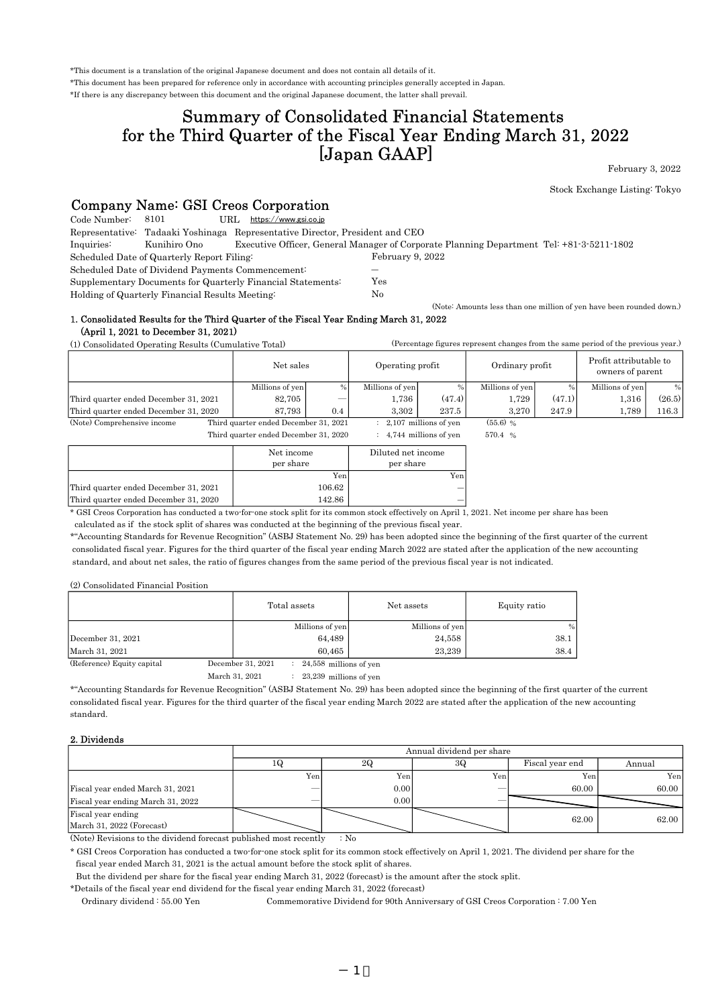\*This document is a translation of the original Japanese document and does not contain all details of it.

\*This document has been prepared for reference only in accordance with accounting principles generally accepted in Japan.

\*If there is any discrepancy between this document and the original Japanese document, the latter shall prevail.

# for the Third Quarter of the Fiscal Year Ending March 31, 2022 [Japan GAAP] Summary of Consolidated Financial Statements

February 3, 2022

Stock Exchange Listing: Tokyo

(Percentage figures represent changes from the same period of the previous year.)

(Note: Amounts less than one million of yen have been rounded down.)

## Company Name: GSI Creos Corporation

| Code Number: | 8101                                              | https://www.gsi.co.jp<br>URL.                                                |                                                                                          |  |
|--------------|---------------------------------------------------|------------------------------------------------------------------------------|------------------------------------------------------------------------------------------|--|
|              |                                                   | Representative: Tadaaki Yoshinaga Representative Director, President and CEO |                                                                                          |  |
| Inquiries:   | Kunihiro Ono                                      |                                                                              | Executive Officer, General Manager of Corporate Planning Department Tel: +81-3-5211-1802 |  |
|              | Scheduled Date of Quarterly Report Filing:        |                                                                              | February 9, 2022                                                                         |  |
|              | Scheduled Date of Dividend Payments Commencement: |                                                                              | $\overline{\phantom{a}}$                                                                 |  |
|              |                                                   | Supplementary Documents for Quarterly Financial Statements:                  | Yes                                                                                      |  |
|              | Holding of Quarterly Financial Results Meeting:   |                                                                              | No                                                                                       |  |

Holding of Quarterly Financial Results Meeting:

(April 1, 2021 to December 31, 2021) 1. Consolidated Results for the Third Quarter of the Fiscal Year Ending March 31, 2022

(1) Consolidated Operating Results (Cumulative Total)

| $\mu$ consolidated operating hesults (culturality rotal) |                                       |                    | $\mu$ or correctly regards represented originates in the structure between the structures $\mu$ |                           |                 |        |                                            |        |
|----------------------------------------------------------|---------------------------------------|--------------------|-------------------------------------------------------------------------------------------------|---------------------------|-----------------|--------|--------------------------------------------|--------|
|                                                          | Net sales                             |                    | Operating profit                                                                                |                           | Ordinary profit |        | Profit attributable to<br>owners of parent |        |
|                                                          | Millions of yen                       | $\frac{0}{0}$      | Millions of yen                                                                                 | $\%$                      | Millions of yen |        | Millions of yen                            | %      |
| Third quarter ended December 31, 2021                    | 82,705                                |                    | 1,736                                                                                           | (47.4)                    | 1,729           | (47.1) | 1,316                                      | (26.5) |
| Third quarter ended December 31, 2020                    | 87,793                                | 0.4                | 3.302                                                                                           | 237.5                     | 3,270           | 247.9  | 1,789                                      | 116.3  |
| (Note) Comprehensive income                              | Third quarter ended December 31, 2021 |                    |                                                                                                 | 2,107 millions of yen     | $(55.6)$ %      |        |                                            |        |
| Third quarter ended December 31, 2020                    |                                       |                    |                                                                                                 | $: 4,744$ millions of yen | 570.4 %         |        |                                            |        |
| Net income                                               |                                       | Diluted net income |                                                                                                 |                           |                 |        |                                            |        |
| per share                                                |                                       | per share          |                                                                                                 |                           |                 |        |                                            |        |
|                                                          |                                       | Yen                |                                                                                                 | Yen                       |                 |        |                                            |        |

―

\* GSI Creos Corporation has conducted a two-for-one stock split for its common stock effectively on April 1, 2021. Net income per share has been ― Third quarter ended December 31, 2020 142.86

106.62

calculated as if the stock split of shares was conducted at the beginning of the previous fiscal year.

\*"Accounting Standards for Revenue Recognition" (ASBJ Statement No. 29) has been adopted since the beginning of the first quarter of the current consolidated fiscal year. Figures for the third quarter of the fiscal year ending March 2022 are stated after the application of the new accounting standard, and about net sales, the ratio of figures changes from the same period of the previous fiscal year is not indicated.

(2) Consolidated Financial Position

Third quarter ended December 31, 2021

|                            | Total assets                                             | Net assets      | Equity ratio |
|----------------------------|----------------------------------------------------------|-----------------|--------------|
|                            | Millions of yen                                          | Millions of yen | %            |
| December 31, 2021          | 64,489                                                   | 24,558          | 38.1         |
| March 31, 2021             | 60.465                                                   | 23.239          | 38.4         |
| (Reference) Equity capital | December 31, 2021<br>$\therefore$ 24,558 millions of yen |                 |              |

 $: 23,239$  millions of yen March 31, 2021

\*"Accounting Standards for Revenue Recognition" (ASBJ Statement No. 29) has been adopted since the beginning of the first quarter of the current consolidated fiscal year. Figures for the third quarter of the fiscal year ending March 2022 are stated after the application of the new accounting standard.

#### 2. Dividends

|                                                 | Annual dividend per share |                             |     |       |       |  |  |  |
|-------------------------------------------------|---------------------------|-----------------------------|-----|-------|-------|--|--|--|
|                                                 | 1 Q                       | 30<br>Fiscal year end<br>2Q |     |       |       |  |  |  |
|                                                 | Yen                       | Yen                         | Yen | Yen   | Yen   |  |  |  |
| Fiscal year ended March 31, 2021                |                           | 0.00                        |     | 60.00 | 60.00 |  |  |  |
| Fiscal year ending March 31, 2022               |                           | 0.00                        |     |       |       |  |  |  |
| Fiscal year ending<br>March 31, 2022 (Forecast) |                           |                             |     | 62.00 | 62.00 |  |  |  |

 $\therefore$  No (Note) Revisions to the dividend forecast published most recently

\* GSI Creos Corporation has conducted a two-for-one stock split for its common stock effectively on April 1, 2021. The dividend per share for the fiscal year ended March 31, 2021 is the actual amount before the stock split of shares.

But the dividend per share for the fiscal year ending March 31, 2022 (forecast) is the amount after the stock split.

\*Details of the fiscal year end dividend for the fiscal year ending March 31, 2022 (forecast)

Ordinary dividend : 55.00 Yen Commemorative Dividend for 90th Anniversary of GSI Creos Corporation : 7.00 Yen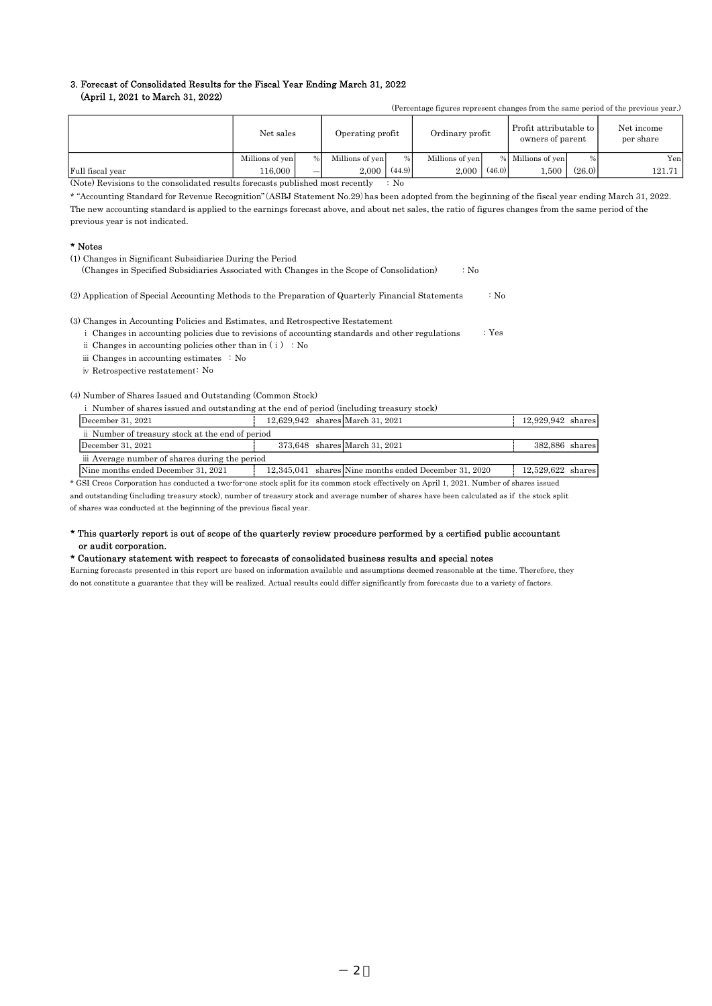# 3. Forecast of Consolidated Results for the Fiscal Year Ending March 31, 2022

### (April 1, 2021 to March 31, 2022)

| (Percentage figures represent changes from the same period of the previous year.) |                 |               |                  |        |                 |        |                                            |               |                         |
|-----------------------------------------------------------------------------------|-----------------|---------------|------------------|--------|-----------------|--------|--------------------------------------------|---------------|-------------------------|
|                                                                                   | Net sales       |               | Operating profit |        | Ordinary profit |        | Profit attributable to<br>owners of parent |               | Net income<br>per share |
|                                                                                   | Millions of yen | $\frac{0}{0}$ | Millions of yen  | $\%$   | Millions of yen |        | % Millions of yen                          | $\frac{0}{0}$ | Yen                     |
| Full fiscal year                                                                  | 116.000         | –             | 2.000            | (44.9) | 2.000           | (46.0) | 500                                        | (26.0)        | 121.71                  |

 $\therefore$  No (Note) Revisions to the consolidated results forecasts published most recently

\* "Accounting Standard for Revenue Recognition"(ASBJ Statement No.29)has been adopted from the beginning of the fiscal year ending March 31, 2022. The new accounting standard is applied to the earnings forecast above, and about net sales, the ratio of figures changes from the same period of the previous year is not indicated.

#### \* Notes

- (1) Changes in Significant Subsidiaries During the Period
	- :  $N_0$ (Changes in Specified Subsidiaries Associated with Changes in the Scope of Consolidation)
- : No (2) Application of Special Accounting Methods to the Preparation of Quarterly Financial Statements

(3) Changes in Accounting Policies and Estimates, and Retrospective Restatement

- : Yes i Changes in accounting policies due to revisions of accounting standards and other regulations
- $\ddot{\text{ii}}$  Changes in accounting policies other than in ( $\ddot{\text{i}}$ ) : No

iii Changes in accounting estimates : No

iv Retrospective restatement: No

#### (4) Number of Shares Issued and Outstanding (Common Stock)

ⅰ Number of shares issued and outstanding at the end of period (including treasury stock)

| December 31, $2021$                             |  | 12.629.942 shares March 31, 2021                      | 12.929.942 shares   |  |
|-------------------------------------------------|--|-------------------------------------------------------|---------------------|--|
| i Number of treasury stock at the end of period |  |                                                       |                     |  |
| December 31, $2021$                             |  | 373.648 shares March 31, 2021                         | 382,886 shares      |  |
| iii Average number of shares during the period  |  |                                                       |                     |  |
| Nine months ended December 31, 2021             |  | 12,345,041 shares Nine months ended December 31, 2020 | $12,529,622$ shares |  |

\* GSI Creos Corporation has conducted a two-for-one stock split for its common stock effectively on April 1, 2021. Number of shares issued and outstanding (including treasury stock), number of treasury stock and average number of shares have been calculated as if the stock split

of shares was conducted at the beginning of the previous fiscal year.

#### \* This quarterly report is out of scope of the quarterly review procedure performed by a certified public accountant or audit corporation.

#### \* Cautionary statement with respect to forecasts of consolidated business results and special notes

Earning forecasts presented in this report are based on information available and assumptions deemed reasonable at the time. Therefore, they do not constitute a guarantee that they will be realized. Actual results could differ significantly from forecasts due to a variety of factors.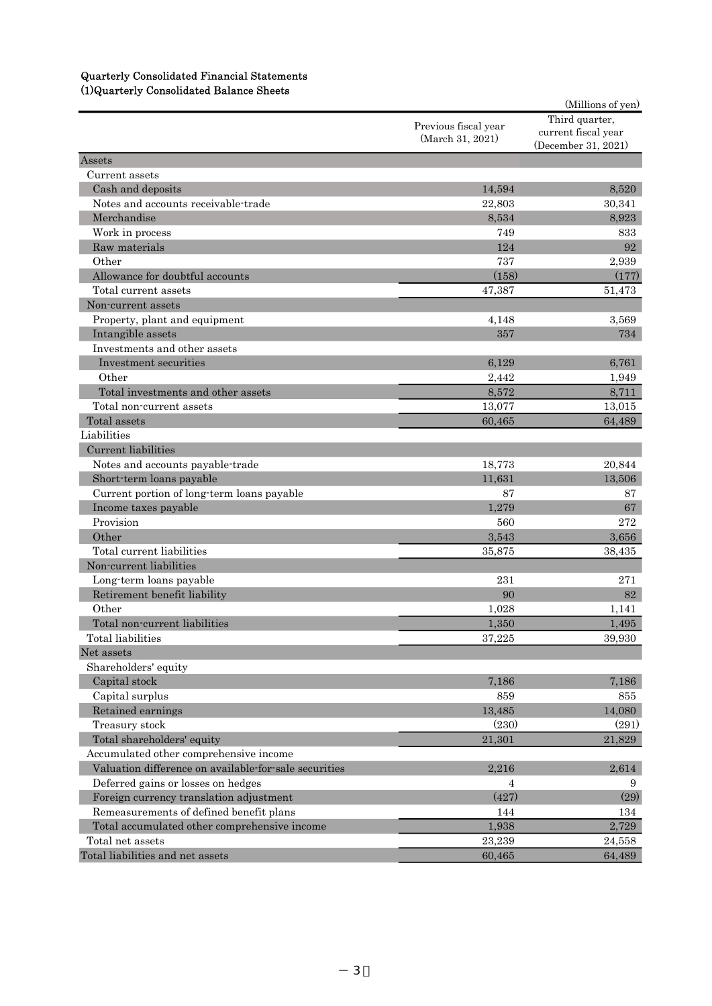## Quarterly Consolidated Financial Statements (1)Quarterly Consolidated Balance Sheets

| (Detailed volume consequence of the conserva-         |                                          | (Millions of yen)   |
|-------------------------------------------------------|------------------------------------------|---------------------|
|                                                       |                                          | Third quarter,      |
|                                                       | Previous fiscal year<br>(March 31, 2021) | current fiscal year |
|                                                       |                                          | (December 31, 2021) |
| Assets                                                |                                          |                     |
| Current assets                                        |                                          |                     |
| Cash and deposits                                     | 14,594                                   | 8,520               |
| Notes and accounts receivable-trade                   | 22,803                                   | 30,341              |
| Merchandise                                           | 8,534                                    | 8,923               |
| Work in process                                       | 749                                      | 833                 |
| Raw materials                                         | 124                                      | 92                  |
| Other                                                 | 737                                      | 2,939               |
| Allowance for doubtful accounts                       | (158)                                    | (177)               |
| Total current assets                                  | 47,387                                   | 51,473              |
| Non-current assets                                    |                                          |                     |
| Property, plant and equipment                         | 4,148                                    | 3,569               |
| Intangible assets                                     | 357                                      | 734                 |
| Investments and other assets                          |                                          |                     |
| Investment securities                                 | 6,129                                    | 6,761               |
| Other                                                 | 2,442                                    | 1,949               |
| Total investments and other assets                    | 8,572                                    | 8,711               |
| Total non-current assets                              | 13,077                                   | 13,015              |
| Total assets                                          | 60,465                                   | 64,489              |
| Liabilities                                           |                                          |                     |
| Current liabilities                                   |                                          |                     |
| Notes and accounts payable-trade                      | 18,773                                   | 20,844              |
| Short-term loans payable                              | 11,631                                   | 13,506              |
| Current portion of long-term loans payable            | 87                                       | 87                  |
| Income taxes payable                                  | 1,279                                    | 67                  |
| Provision                                             | 560                                      | $\bf 272$           |
| Other                                                 | 3,543                                    | 3,656               |
| Total current liabilities                             | 35,875                                   | 38,435              |
| Non-current liabilities                               |                                          |                     |
| Long-term loans payable                               | 231                                      | 271                 |
| Retirement benefit liability                          | 90                                       | 82                  |
| Other                                                 | 1.028                                    | 1,141               |
| Total non-current liabilities                         | 1,350                                    | 1,495               |
| Total liabilities                                     | 37,225                                   | 39,930              |
| Net assets                                            |                                          |                     |
| Shareholders' equity                                  |                                          |                     |
| Capital stock                                         | 7,186                                    | 7,186               |
| Capital surplus                                       | 859                                      | 855                 |
| Retained earnings                                     | 13,485                                   | 14,080              |
| Treasury stock                                        | (230)                                    | (291)               |
| Total shareholders' equity                            | 21.301                                   | 21,829              |
| Accumulated other comprehensive income                |                                          |                     |
| Valuation difference on available for sale securities | 2.216                                    | 2,614               |
| Deferred gains or losses on hedges                    | 4                                        | 9                   |
| Foreign currency translation adjustment               | (427)                                    | (29)                |
| Remeasurements of defined benefit plans               | 144                                      | 134                 |
| Total accumulated other comprehensive income          | 1,938                                    | 2,729               |
| Total net assets                                      | 23,239                                   | 24,558              |
| Total liabilities and net assets                      | 60,465                                   | 64,489              |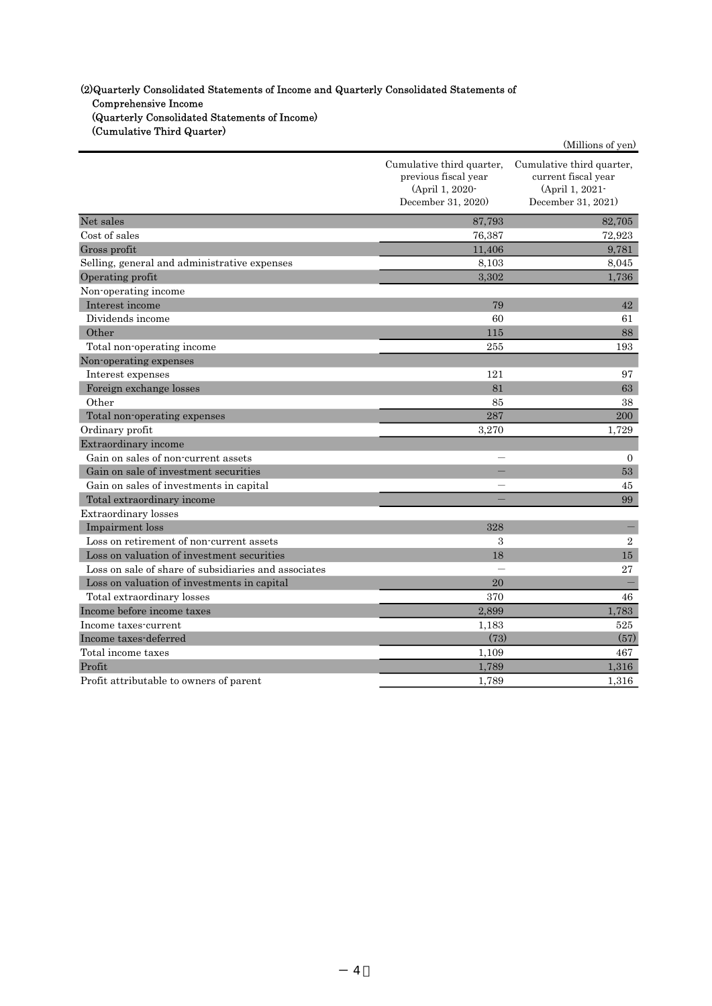## (2)Quarterly Consolidated Statements of Income and Quarterly Consolidated Statements of Comprehensive Income (Quarterly Consolidated Statements of Income) (Cumulative Third Quarter)

|                                                      |                                                                                            | (Millions of yen)                                                                         |
|------------------------------------------------------|--------------------------------------------------------------------------------------------|-------------------------------------------------------------------------------------------|
|                                                      | Cumulative third quarter,<br>previous fiscal year<br>(April 1, 2020-<br>December 31, 2020) | Cumulative third quarter,<br>current fiscal year<br>(April 1, 2021-<br>December 31, 2021) |
| Net sales                                            | 87,793                                                                                     | 82,705                                                                                    |
| Cost of sales                                        | 76,387                                                                                     | 72,923                                                                                    |
| Gross profit                                         | 11,406                                                                                     | 9,781                                                                                     |
| Selling, general and administrative expenses         | 8,103                                                                                      | 8,045                                                                                     |
| Operating profit                                     | 3,302                                                                                      | 1,736                                                                                     |
| Non-operating income                                 |                                                                                            |                                                                                           |
| Interest income                                      | 79                                                                                         | 42                                                                                        |
| Dividends income                                     | 60                                                                                         | 61                                                                                        |
| Other                                                | 115                                                                                        | 88                                                                                        |
| Total non-operating income                           | 255                                                                                        | 193                                                                                       |
| Non-operating expenses                               |                                                                                            |                                                                                           |
| Interest expenses                                    | 121                                                                                        | 97                                                                                        |
| Foreign exchange losses                              | 81                                                                                         | 63                                                                                        |
| Other                                                | 85                                                                                         | 38                                                                                        |
| Total non-operating expenses                         | 287                                                                                        | 200                                                                                       |
| Ordinary profit                                      | 3,270                                                                                      | 1,729                                                                                     |
| Extraordinary income                                 |                                                                                            |                                                                                           |
| Gain on sales of non-current assets                  |                                                                                            | $\overline{0}$                                                                            |
| Gain on sale of investment securities                |                                                                                            | 53                                                                                        |
| Gain on sales of investments in capital              |                                                                                            | 45                                                                                        |
| Total extraordinary income                           |                                                                                            | 99                                                                                        |
| <b>Extraordinary</b> losses                          |                                                                                            |                                                                                           |
| Impairment loss                                      | 328                                                                                        |                                                                                           |
| Loss on retirement of non-current assets             | $\mathcal{S}$                                                                              | $\mathbf{2}$                                                                              |
| Loss on valuation of investment securities           | 18                                                                                         | 15                                                                                        |
| Loss on sale of share of subsidiaries and associates |                                                                                            | 27                                                                                        |
| Loss on valuation of investments in capital          | 20                                                                                         |                                                                                           |
| Total extraordinary losses                           | 370                                                                                        | 46                                                                                        |
| Income before income taxes                           | 2,899                                                                                      | 1,783                                                                                     |
| Income taxes-current                                 | 1,183                                                                                      | 525                                                                                       |
| Income taxes-deferred                                | (73)                                                                                       | (57)                                                                                      |
| Total income taxes                                   | 1,109                                                                                      | 467                                                                                       |
| Profit                                               | 1,789                                                                                      | 1,316                                                                                     |
| Profit attributable to owners of parent              | 1.789                                                                                      | 1.316                                                                                     |